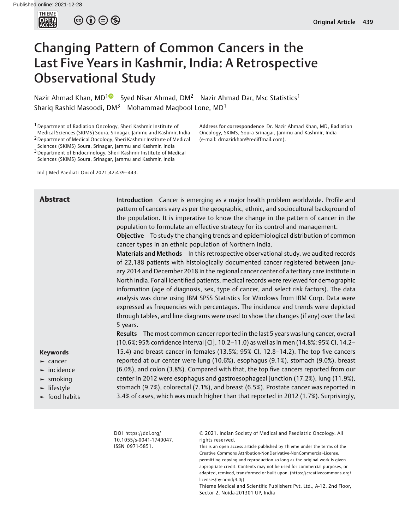

 $\circledcirc \circledcirc \circledcirc$ 

# Changing Pattern of Common Cancers in the Last Five Years in Kashmir, India: A Retrospective Observational Study

Nazir Ahmad Khan, MD<sup>1</sup> Syed Nisar Ahmad, DM<sup>2</sup> Nazir Ahmad Dar, Msc Statistics<sup>1</sup> Shariq Rashid Masoodi, DM<sup>3</sup> Mohammad Maqbool Lone, MD<sup>1</sup>

<sup>1</sup> Department of Radiation Oncology, Sheri Kashmir Institute of Medical Sciences (SKIMS) Soura, Srinagar, Jammu and Kashmir, India 2Department of Medical Oncology, Sheri Kashmir Institute of Medical

Sciences (SKIMS) Soura, Srinagar, Jammu and Kashmir, India 3Department of Endocrinology, Sheri Kashmir Institute of Medical Address for correspondence Dr. Nazir Ahmad Khan, MD, Radiation Oncology, SKIMS, Soura Srinagar, Jammu and Kashmir, India (e-mail: [drnazirkhan@rediffmail.com\)](mailto:drnazirkhan@rediffmail.com).

Sciences (SKIMS) Soura, Srinagar, Jammu and Kashmir, India

Ind J Med Paediatr Oncol 2021;42:439–443.

Abstract Introduction Cancer is emerging as a major health problem worldwide. Profile and pattern of cancers vary as per the geographic, ethnic, and sociocultural background of the population. It is imperative to know the change in the pattern of cancer in the population to formulate an effective strategy for its control and management. Objective To study the changing trends and epidemiological distribution of common

cancer types in an ethnic population of Northern India.

Materials and Methods In this retrospective observational study, we audited records of 22,188 patients with histologically documented cancer registered between January 2014 and December 2018 in the regional cancer center of a tertiary care institute in North India. For all identified patients, medical records were reviewed for demographic information (age of diagnosis, sex, type of cancer, and select risk factors). The data analysis was done using IBM SPSS Statistics for Windows from IBM Corp. Data were expressed as frequencies with percentages. The incidence and trends were depicted through tables, and line diagrams were used to show the changes (if any) over the last 5 years.

Results The most common cancer reported in the last 5 years was lung cancer, overall (10.6%; 95% confidence interval [CI], 10.2–11.0) as well as in men (14.8%; 95% CI, 14.2– 15.4) and breast cancer in females (13.5%; 95% CI, 12.8–14.2). The top five cancers reported at our center were lung (10.6%), esophagus (9.1%), stomach (9.0%), breast (6.0%), and colon (3.8%). Compared with that, the top five cancers reported from our center in 2012 were esophagus and gastroesophageal junction (17.2%), lung (11.9%), stomach (9.7%), colorectal (7.1%), and breast (6.5%). Prostate cancer was reported in 3.4% of cases, which was much higher than that reported in 2012 (1.7%). Surprisingly,

#### Keywords

- ► cancer
- ► incidence
- ► smoking
- ► lifestyle
- ► food habits

DOI [https://doi.org/](https://doi.org/10.1055/s-0041-1740047) [10.1055/s-0041-1740047](https://doi.org/10.1055/s-0041-1740047). ISSN 0971-5851.

© 2021. Indian Society of Medical and Paediatric Oncology. All rights reserved.

This is an open access article published by Thieme under the terms of the Creative Commons Attribution-NonDerivative-NonCommercial-License, permitting copying and reproduction so long as the original work is given appropriate credit. Contents may not be used for commercial purposes, or adapted, remixed, transformed or built upon. (https://creativecommons.org/ licenses/by-nc-nd/4.0/)

Thieme Medical and Scientific Publishers Pvt. Ltd., A-12, 2nd Floor, Sector 2, Noida-201301 UP, India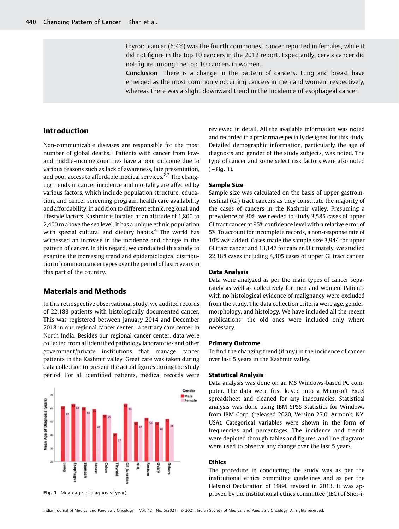thyroid cancer (6.4%) was the fourth commonest cancer reported in females, while it did not figure in the top 10 cancers in the 2012 report. Expectantly, cervix cancer did not figure among the top 10 cancers in women.

Conclusion There is a change in the pattern of cancers. Lung and breast have emerged as the most commonly occurring cancers in men and women, respectively, whereas there was a slight downward trend in the incidence of esophageal cancer.

# Introduction

Non-communicable diseases are responsible for the most number of global deaths.<sup>1</sup> Patients with cancer from lowand middle-income countries have a poor outcome due to various reasons such as lack of awareness, late presentation, and poor access to affordable medical services.<sup>2,3</sup> The changing trends in cancer incidence and mortality are affected by various factors, which include population structure, education, and cancer screening program, health care availability and affordability, in addition to different ethnic, regional, and lifestyle factors. Kashmir is located at an altitude of 1,800 to 2,400 m above the sea level. It has a unique ethnic population with special cultural and dietary habits.<sup>4</sup> The world has witnessed an increase in the incidence and change in the pattern of cancer. In this regard, we conducted this study to examine the increasing trend and epidemiological distribution of common cancer types over the period of last 5 years in this part of the country.

## Materials and Methods

In this retrospective observational study, we audited records of 22,188 patients with histologically documented cancer. This was registered between January 2014 and December 2018 in our regional cancer center—a tertiary care center in North India. Besides our regional cancer center, data were collected from all identified pathology laboratories and other government/private institutions that manage cancer patients in the Kashmir valley. Great care was taken during data collection to present the actual figures during the study period. For all identified patients, medical records were



reviewed in detail. All the available information was noted and recorded in a proforma especially designed for this study. Detailed demographic information, particularly the age of diagnosis and gender of the study subjects, was noted. The type of cancer and some select risk factors were also noted  $($   $\blacktriangleright$  Fig. 1).

#### Sample Size

Sample size was calculated on the basis of upper gastrointestinal (GI) tract cancers as they constitute the majority of the cases of cancers in the Kashmir valley. Presuming a prevalence of 30%, we needed to study 3,585 cases of upper GI tract cancer at 95% confidence level with a relative error of 5%. To account for incomplete records, a non-response rate of 10% was added. Cases made the sample size 3,944 for upper GI tract cancer and 13,147 for cancer. Ultimately, we studied 22,188 cases including 4,805 cases of upper GI tract cancer.

#### Data Analysis

Data were analyzed as per the main types of cancer separately as well as collectively for men and women. Patients with no histological evidence of malignancy were excluded from the study. The data collection criteria were age, gender, morphology, and histology. We have included all the recent publications; the old ones were included only where necessary.

#### Primary Outcome

To find the changing trend (if any) in the incidence of cancer over last 5 years in the Kashmir valley.

#### Statistical Analysis

Data analysis was done on an MS Windows-based PC computer. The data were first keyed into a Microsoft Excel spreadsheet and cleaned for any inaccuracies. Statistical analysis was done using IBM SPSS Statistics for Windows from IBM Corp. (released 2020, Version 27.0. Armonk, NY, USA). Categorical variables were shown in the form of frequencies and percentages. The incidence and trends were depicted through tables and figures, and line diagrams were used to observe any change over the last 5 years.

#### Ethics

The procedure in conducting the study was as per the institutional ethics committee guidelines and as per the Helsinki Declaration of 1964, revised in 2013. It was ap-**Fig. 1** Mean age of diagnosis (year). The state of the institutional ethics committee (IEC) of Sher-i-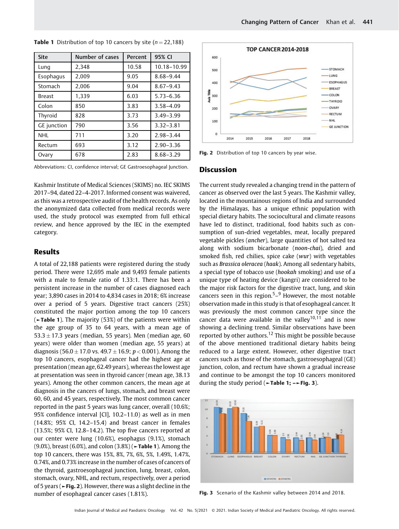| <b>Site</b>        | Number of cases | Percent | 95% CI        |  |
|--------------------|-----------------|---------|---------------|--|
| Lung               | 2,348           | 10.58   | 10.18-10.99   |  |
| Esophagus          | 2.009           | 9.05    | 8.68-9.44     |  |
| Stomach            | 2,006           | 9.04    | $8.67 - 9.43$ |  |
| <b>Breast</b>      | 1.339           | 6.03    | $5.73 - 6.36$ |  |
| Colon              | 850             | 3.83    | $3.58 - 4.09$ |  |
| Thyroid            | 828             | 3.73    | $3.49 - 3.99$ |  |
| <b>GE</b> junction | 790             | 3.56    | $3.32 - 3.81$ |  |
| <b>NHL</b>         | 711             | 3.20    | $2.98 - 3.44$ |  |
| Rectum             | 693             | 3.12    | $2.90 - 3.36$ |  |
| Ovary              | 678             | 2.83    | $8.68 - 3.29$ |  |

**Table 1** Distribution of top 10 cancers by site ( $n = 22,188$ )

Abbreviations: CI, confidence interval; GE Gastroesophageal Junction.

Kashmir Institute of Medical Sciences (SKIMS) no. IEC SKIMS 2017–94, dated 22–4-2017. Informed consent was waivered, as this was a retrospective audit of the health records. As only the anonymized data collected from medical records were used, the study protocol was exempted from full ethical review, and hence approved by the IEC in the exempted category.

# Results

A total of 22,188 patients were registered during the study period. There were 12,695 male and 9,493 female patients with a male to female ratio of 1.33:1. There has been a persistent increase in the number of cases diagnosed each year; 3,890 cases in 2014 to 4,834 cases in 2018; 6% increase over a period of 5 years. Digestive tract cancers (25%) constituted the major portion among the top 10 cancers (►Table 1). The majority (53%) of the patients were within the age group of 35 to 64 years, with a mean age of  $53.3 \pm 17.3$  years (median, 55 years). Men (median age, 60 years) were older than women (median age, 55 years) at diagnosis (56.0  $\pm$  17.0 vs. 49.7  $\pm$  16.9; p < 0.001). Among the top 10 cancers, esophageal cancer had the highest age at presentation (mean age, 62.49 years), whereas the lowest age at presentation was seen in thyroid cancer (mean age, 38.13 years). Among the other common cancers, the mean age at diagnosis in the cancers of lungs, stomach, and breast were 60, 60, and 45 years, respectively. The most common cancer reported in the past 5 years was lung cancer, overall (10.6%; 95% confidence interval [CI], 10.2–11.0) as well as in men (14.8%; 95% CI, 14.2–15.4) and breast cancer in females (13.5%; 95% CI, 12.8–14.2). The top five cancers reported at our center were lung (10.6%), esophagus (9.1%), stomach (9.0%), breast (6.0%), and colon (3.8%) (►Table 1). Among the top 10 cancers, there was 15%, 8%, 7%, 6%, 5%, 1.49%, 1.47%, 0.74%, and 0.73% increase in the number of cases of cancers of the thyroid, gastroesophageal junction, lung, breast, colon, stomach, ovary, NHL, and rectum, respectively, over a period of 5 years (►Fig. 2). However, there was a slight decline in the number of esophageal cancer cases (1.81%).



Fig. 2 Distribution of top 10 cancers by year wise.

#### **Discussion**

The current study revealed a changing trend in the pattern of cancer as observed over the last 5 years. The Kashmir valley, located in the mountainous regions of India and surrounded by the Himalayas, has a unique ethnic population with special dietary habits. The sociocultural and climate reasons have led to distinct, traditional, food habits such as consumption of sun-dried vegetables, meat, locally prepared vegetable pickles (ancher), large quantities of hot salted tea along with sodium bicarbonate (noon-chai), dried and smoked fish, red chilies, spice cake (wur) with vegetables such as Brassica oleracea (haak). Among all sedentary habits, a special type of tobacco use (hookah smoking) and use of a unique type of heating device (kangri) are considered to be the major risk factors for the digestive tract, lung, and skin cancers seen in this region.<sup>5</sup> $-$ <sup>9</sup> However, the most notable observation made in this study is that of esophageal cancer. It was previously the most common cancer type since the cancer data were available in the vallev<sup>10,11</sup> and is now showing a declining trend. Similar observations have been reported by other authors.<sup>12</sup> This might be possible because of the above mentioned traditional dietary habits being reduced to a large extent. However, other digestive tract cancers such as those of the stomach, gastroesophageal (GE) junction, colon, and rectum have shown a gradual increase and continue to be amongst the top 10 cancers monitored during the study period (►Table 1; –►Fig. 3).



Fig. 3 Scenario of the Kashmir valley between 2014 and 2018.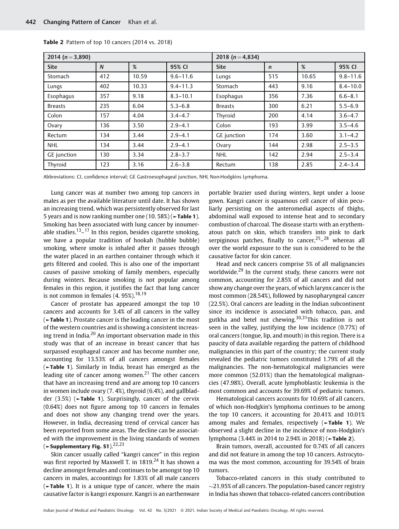| 2014 ( $n = 3,890$ ) |     |       | 2018 ( $n = 4,834$ ) |                |             |       |              |
|----------------------|-----|-------|----------------------|----------------|-------------|-------|--------------|
| <b>Site</b>          | N   | %     | 95% CI               | <b>Site</b>    | $\mathbf n$ | %     | 95% CI       |
| Stomach              | 412 | 10.59 | $9.6 - 11.6$         | Lungs          | 515         | 10.65 | $9.8 - 11.6$ |
| Lungs                | 402 | 10.33 | $9.4 - 11.3$         | Stomach        | 443         | 9.16  | $8.4 - 10.0$ |
| Esophagus            | 357 | 9.18  | $8.3 - 10.1$         | Esophagus      | 356         | 7.36  | $6.6 - 8.1$  |
| <b>Breasts</b>       | 235 | 6.04  | $5.3 - 6.8$          | <b>Breasts</b> | 300         | 6.21  | $5.5 - 6.9$  |
| Colon                | 157 | 4.04  | $3.4 - 4.7$          | Thyroid        | 200         | 4.14  | $3.6 - 4.7$  |
| Ovary                | 136 | 3.50  | $2.9 - 4.1$          | Colon          | 193         | 3.99  | $3.5 - 4.6$  |
| Rectum               | 134 | 3.44  | $2.9 - 4.1$          | GE junction    | 174         | 3.60  | $3.1 - 4.2$  |
| <b>NHL</b>           | 134 | 3.44  | $2.9 - 4.1$          | Ovary          | 144         | 2.98  | $2.5 - 3.5$  |
| <b>GE</b> junction   | 130 | 3.34  | $2.8 - 3.7$          | <b>NHL</b>     | 142         | 2.94  | $2.5 - 3.4$  |
| Thyroid              | 123 | 3.16  | $2.6 - 3.8$          | Rectum         | 138         | 2.85  | $2.4 - 3.4$  |

Table 2 Pattern of top 10 cancers (2014 vs. 2018)

Abbreviations: CI, confidence interval; GE Gastroesophageal junction, NHL Non-Hodgkins Lymphoma.

Lung cancer was at number two among top cancers in males as per the available literature until date. It has shown an increasing trend, which was persistently observed for last 5 years and is now ranking number one  $(10.58%)$  ( $\blacktriangleright$ Table 1). Smoking has been associated with lung cancer by innumerable studies.<sup>13</sup>–<sup>17</sup> In this region, besides cigarette smoking, we have a popular tradition of hookah (hubble bubble) smoking, where smoke is inhaled after it passes through the water placed in an earthen container through which it gets filtered and cooled. This is also one of the important causes of passive smoking of family members, especially during winters. Because smoking is not popular among females in this region, it justifies the fact that lung cancer is not common in females  $(4.95\%)$ <sup>18,19</sup>

Cancer of prostate has appeared amongst the top 10 cancers and accounts for 3.4% of all cancers in the valley (►Table 1). Prostate cancer is the leading cancer in the most of the western countries and is showing a consistent increasing trend in India. $20$  An important observation made in this study was that of an increase in breast cancer that has surpassed esophageal cancer and has become number one, accounting for 13.53% of all cancers amongst females (►Table 1). Similarly in India, breast has emerged as the leading site of cancer among women.<sup>21</sup> The other cancers that have an increasing trend and are among top 10 cancers in women include ovary (7. 4%), thyroid (6.4%), and gallbladder (3.5%) (►Table 1). Surprisingly, cancer of the cervix (0.64%) does not figure among top 10 cancers in females and does not show any changing trend over the years. However, in India, decreasing trend of cervical cancer has been reported from some areas. The decline can be associated with the improvement in the living standards of women ( $\sim$  Supplementary Fig. S1).<sup>22,23</sup>

Skin cancer usually called "kangri cancer" in this region was first reported by Maxwell T. in  $1819<sup>24</sup>$  It has shown a decline amongst females and continues to be amongst top 10 cancers in males, accountings for 1.83% of all male cancers (►Table 1). It is a unique type of cancer, where the main causative factor is kangri exposure. Kangri is an earthenware portable brazier used during winters, kept under a loose gown. Kangri cancer is squamous cell cancer of skin peculiarly persisting on the anteromedial aspects of thighs, abdominal wall exposed to intense heat and to secondary combustion of charcoal. The disease starts with an erythematous patch on skin, which transfers into pink to dark serpiginous patches, finally to cancer,  $25-28$  whereas all over the world exposure to the sun is considered to be the causative factor for skin cancer.

Head and neck cancers comprise 5% of all malignancies worldwide.<sup>29</sup> In the current study, these cancers were not common, accounting for 2.85% of all cancers and did not show any change over the years, of which larynx cancer is the most common (28.54%), followed by nasopharyngeal cancer (22.5%). Oral cancers are leading in the Indian subcontinent since its incidence is associated with tobacco, pan, and gutkha and betel nut chewing.<sup>30,31</sup>This tradition is not seen in the valley, justifying the low incidence (0.77%) of oral cancers (tongue, lip, and mouth) in this region. There is a paucity of data available regarding the pattern of childhood malignancies in this part of the country; the current study revealed the pediatric tumors constituted 1.79% of all the malignancies. The non-hematological malignancies were more common (52.01%) than the hematological malignancies (47.98%). Overall, acute lymphoblastic leukemia is the most common and accounts for 39.69% of pediatric tumors.

Hematological cancers accounts for 10.69% of all cancers, of which non-Hodgkin's lymphoma continues to be among the top 10 cancers, it accounting for 20.41% and 10.01% among males and females, respectively (►Table 1). We observed a slight decline in the incidence of non-Hodgkin's lymphoma (3.44% in 2014 to 2.94% in 2018) (►Table 2).

Brain tumors, overall, accounted for 0.74% of all cancers and did not feature in among the top 10 cancers. Astrocytoma was the most common, accounting for 39.54% of brain tumors.

Tobacco-related cancers in this study contributed to  $\sim$ 21.95% of all cancers. The population-based cancer registry in India has shown that tobacco-related cancers contribution